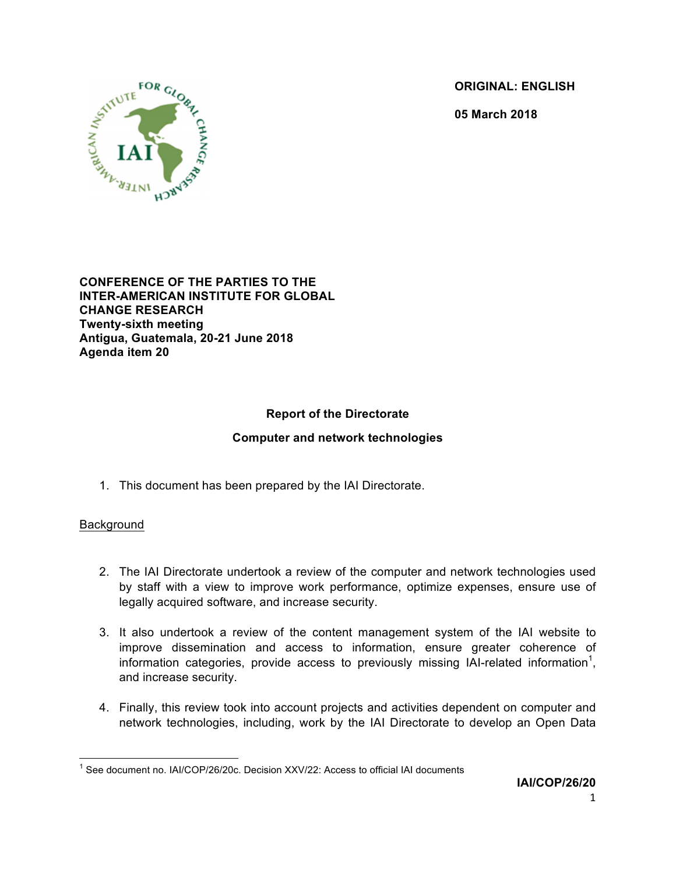**ORIGINAL: ENGLISH**

**05 March 2018**



**CONFERENCE OF THE PARTIES TO THE INTER-AMERICAN INSTITUTE FOR GLOBAL CHANGE RESEARCH Twenty-sixth meeting Antigua, Guatemala, 20-21 June 2018 Agenda item 20**

# **Report of the Directorate**

## **Computer and network technologies**

1. This document has been prepared by the IAI Directorate.

#### Background

- 2. The IAI Directorate undertook a review of the computer and network technologies used by staff with a view to improve work performance, optimize expenses, ensure use of legally acquired software, and increase security.
- 3. It also undertook a review of the content management system of the IAI website to improve dissemination and access to information, ensure greater coherence of information categories, provide access to previously missing IAI-related information<sup>1</sup>, and increase security.
- 4. Finally, this review took into account projects and activities dependent on computer and network technologies, including, work by the IAI Directorate to develop an Open Data

 $1$  See document no. IAI/COP/26/20c. Decision XXV/22: Access to official IAI documents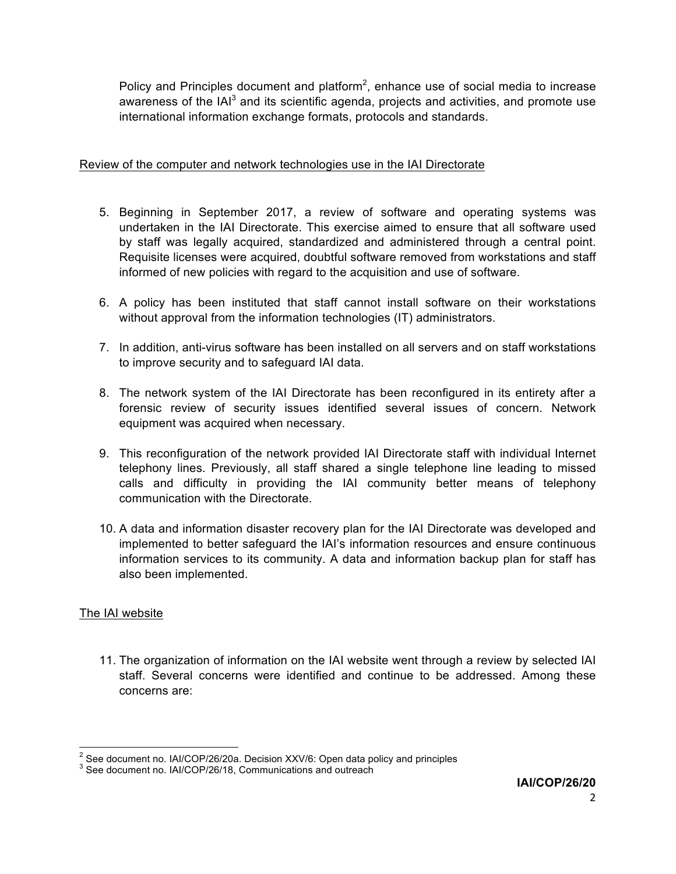Policy and Principles document and platform<sup>2</sup>, enhance use of social media to increase awareness of the  $|A|^3$  and its scientific agenda, projects and activities, and promote use international information exchange formats, protocols and standards.

## Review of the computer and network technologies use in the IAI Directorate

- 5. Beginning in September 2017, a review of software and operating systems was undertaken in the IAI Directorate. This exercise aimed to ensure that all software used by staff was legally acquired, standardized and administered through a central point. Requisite licenses were acquired, doubtful software removed from workstations and staff informed of new policies with regard to the acquisition and use of software.
- 6. A policy has been instituted that staff cannot install software on their workstations without approval from the information technologies (IT) administrators.
- 7. In addition, anti-virus software has been installed on all servers and on staff workstations to improve security and to safeguard IAI data.
- 8. The network system of the IAI Directorate has been reconfigured in its entirety after a forensic review of security issues identified several issues of concern. Network equipment was acquired when necessary.
- 9. This reconfiguration of the network provided IAI Directorate staff with individual Internet telephony lines. Previously, all staff shared a single telephone line leading to missed calls and difficulty in providing the IAI community better means of telephony communication with the Directorate.
- 10. A data and information disaster recovery plan for the IAI Directorate was developed and implemented to better safeguard the IAI's information resources and ensure continuous information services to its community. A data and information backup plan for staff has also been implemented.

## The IAI website

11. The organization of information on the IAI website went through a review by selected IAI staff. Several concerns were identified and continue to be addressed. Among these concerns are:

<sup>&</sup>lt;sup>2</sup> See document no. IAI/COP/26/20a. Decision XXV/6: Open data policy and principles  $3$  See document no. IAI/COP/26/18, Communications and outreach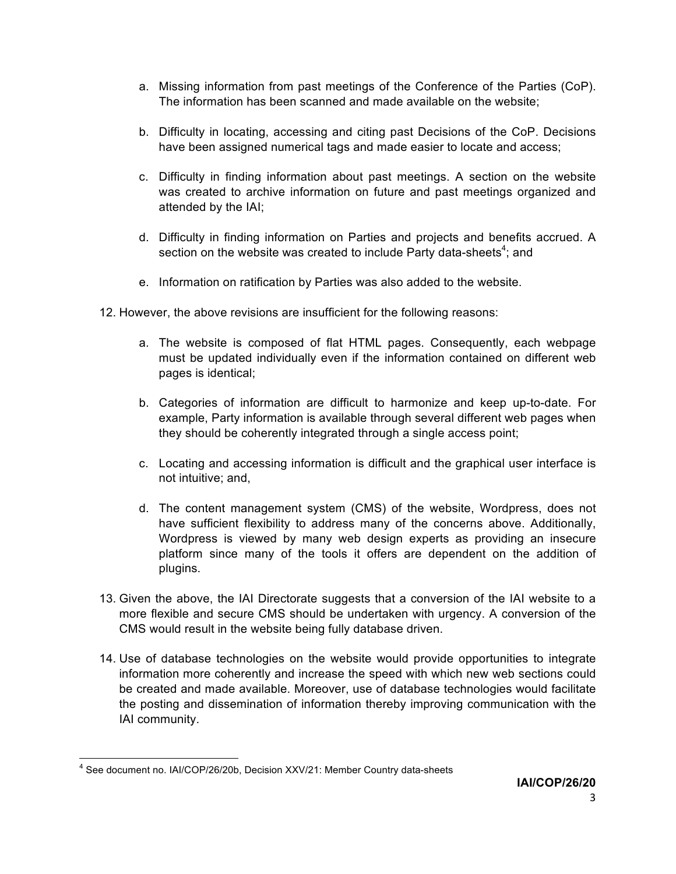- a. Missing information from past meetings of the Conference of the Parties (CoP). The information has been scanned and made available on the website;
- b. Difficulty in locating, accessing and citing past Decisions of the CoP. Decisions have been assigned numerical tags and made easier to locate and access;
- c. Difficulty in finding information about past meetings. A section on the website was created to archive information on future and past meetings organized and attended by the IAI;
- d. Difficulty in finding information on Parties and projects and benefits accrued. A section on the website was created to include Party data-sheets<sup>4</sup>; and
- e. Information on ratification by Parties was also added to the website.
- 12. However, the above revisions are insufficient for the following reasons:
	- a. The website is composed of flat HTML pages. Consequently, each webpage must be updated individually even if the information contained on different web pages is identical;
	- b. Categories of information are difficult to harmonize and keep up-to-date. For example, Party information is available through several different web pages when they should be coherently integrated through a single access point;
	- c. Locating and accessing information is difficult and the graphical user interface is not intuitive; and,
	- d. The content management system (CMS) of the website, Wordpress, does not have sufficient flexibility to address many of the concerns above. Additionally, Wordpress is viewed by many web design experts as providing an insecure platform since many of the tools it offers are dependent on the addition of plugins.
- 13. Given the above, the IAI Directorate suggests that a conversion of the IAI website to a more flexible and secure CMS should be undertaken with urgency. A conversion of the CMS would result in the website being fully database driven.
- 14. Use of database technologies on the website would provide opportunities to integrate information more coherently and increase the speed with which new web sections could be created and made available. Moreover, use of database technologies would facilitate the posting and dissemination of information thereby improving communication with the IAI community.

<sup>&</sup>lt;sup>4</sup> See document no. IAI/COP/26/20b, Decision XXV/21: Member Country data-sheets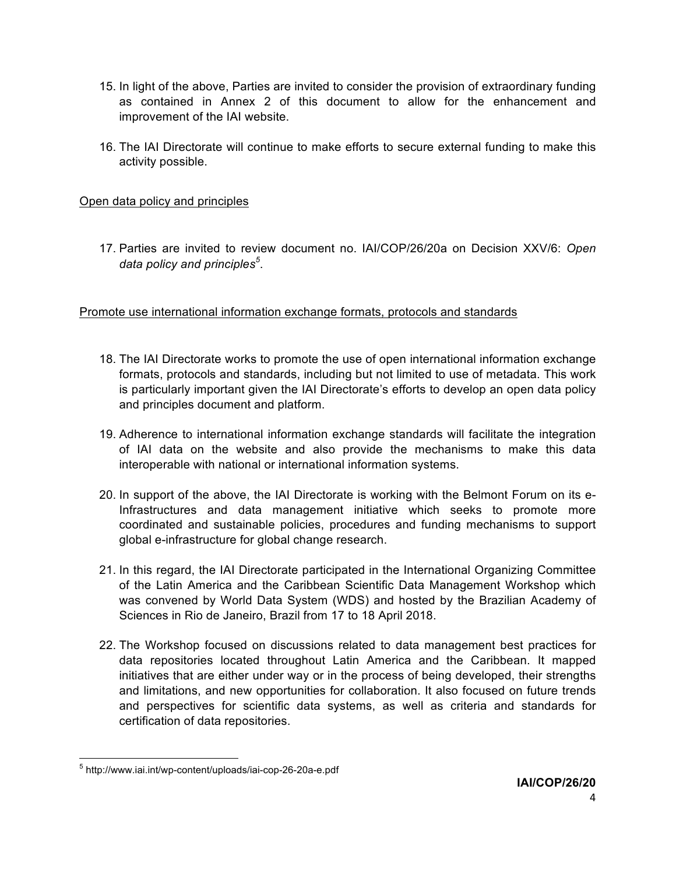- 15. In light of the above, Parties are invited to consider the provision of extraordinary funding as contained in Annex 2 of this document to allow for the enhancement and improvement of the IAI website.
- 16. The IAI Directorate will continue to make efforts to secure external funding to make this activity possible.

## Open data policy and principles

17. Parties are invited to review document no. IAI/COP/26/20a on Decision XXV/6: *Open data policy and principles<sup>5</sup>* .

Promote use international information exchange formats, protocols and standards

- 18. The IAI Directorate works to promote the use of open international information exchange formats, protocols and standards, including but not limited to use of metadata. This work is particularly important given the IAI Directorate's efforts to develop an open data policy and principles document and platform.
- 19. Adherence to international information exchange standards will facilitate the integration of IAI data on the website and also provide the mechanisms to make this data interoperable with national or international information systems.
- 20. In support of the above, the IAI Directorate is working with the Belmont Forum on its e-Infrastructures and data management initiative which seeks to promote more coordinated and sustainable policies, procedures and funding mechanisms to support global e-infrastructure for global change research.
- 21. In this regard, the IAI Directorate participated in the International Organizing Committee of the Latin America and the Caribbean Scientific Data Management Workshop which was convened by World Data System (WDS) and hosted by the Brazilian Academy of Sciences in Rio de Janeiro, Brazil from 17 to 18 April 2018.
- 22. The Workshop focused on discussions related to data management best practices for data repositories located throughout Latin America and the Caribbean. It mapped initiatives that are either under way or in the process of being developed, their strengths and limitations, and new opportunities for collaboration. It also focused on future trends and perspectives for scientific data systems, as well as criteria and standards for certification of data repositories.

 <sup>5</sup> http://www.iai.int/wp-content/uploads/iai-cop-26-20a-e.pdf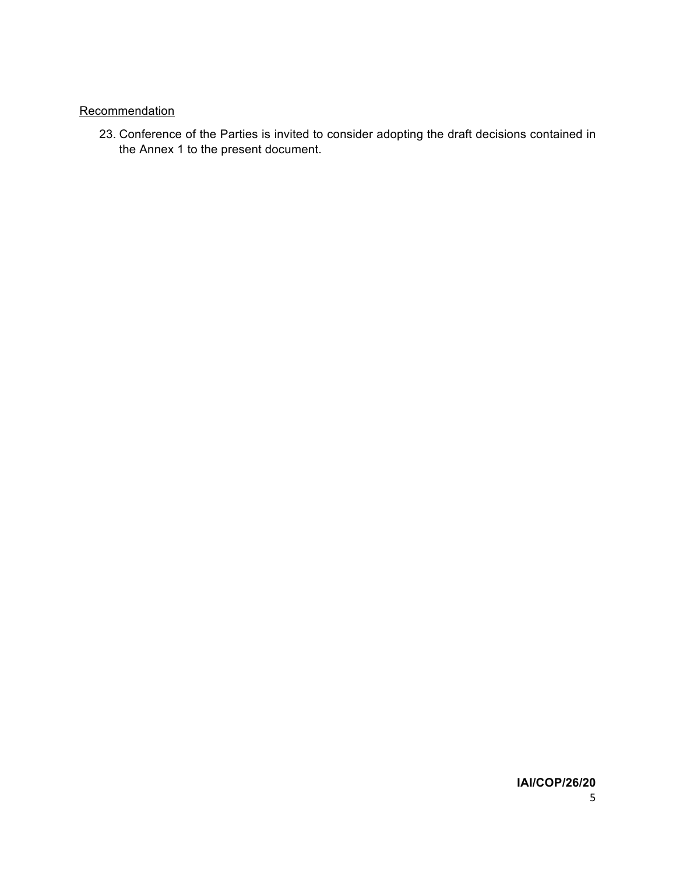### **Recommendation**

23. Conference of the Parties is invited to consider adopting the draft decisions contained in the Annex 1 to the present document.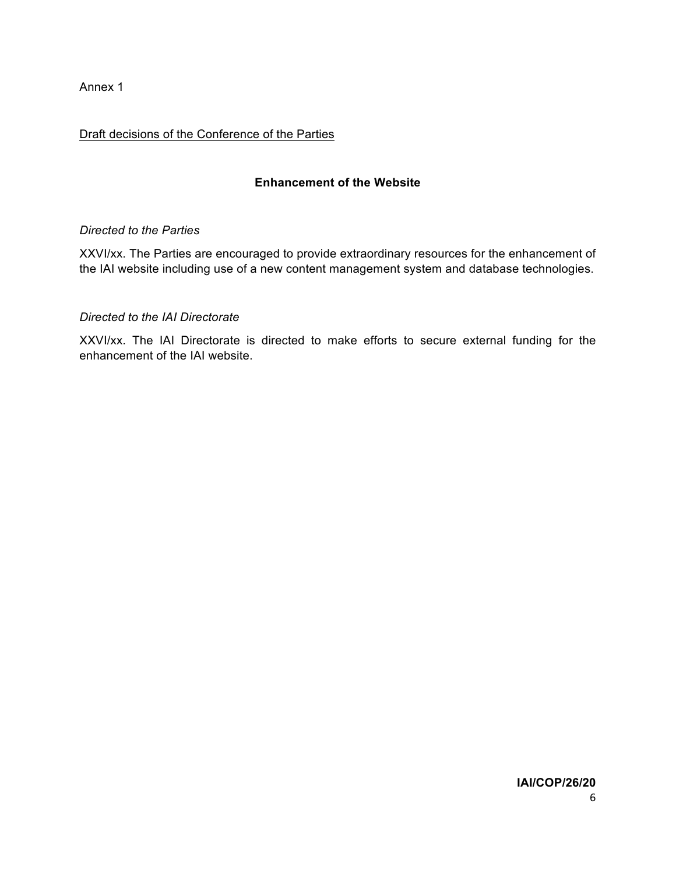Annex 1

### Draft decisions of the Conference of the Parties

### **Enhancement of the Website**

#### *Directed to the Parties*

XXVI/xx. The Parties are encouraged to provide extraordinary resources for the enhancement of the IAI website including use of a new content management system and database technologies.

#### *Directed to the IAI Directorate*

XXVI/xx. The IAI Directorate is directed to make efforts to secure external funding for the enhancement of the IAI website.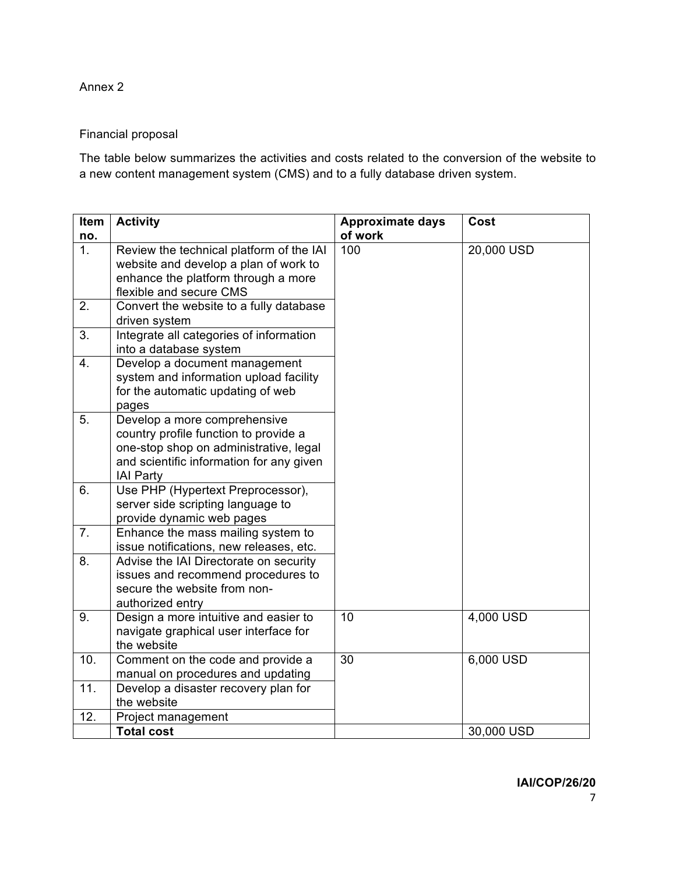Annex 2

### Financial proposal

The table below summarizes the activities and costs related to the conversion of the website to a new content management system (CMS) and to a fully database driven system.

| Item<br>no.    | <b>Activity</b>                                                                                                                                                                 | <b>Approximate days</b><br>of work | Cost       |
|----------------|---------------------------------------------------------------------------------------------------------------------------------------------------------------------------------|------------------------------------|------------|
| 1 <sub>1</sub> | Review the technical platform of the IAI<br>website and develop a plan of work to<br>enhance the platform through a more<br>flexible and secure CMS                             | 100                                | 20,000 USD |
| 2.             | Convert the website to a fully database<br>driven system                                                                                                                        |                                    |            |
| 3.             | Integrate all categories of information<br>into a database system                                                                                                               |                                    |            |
| 4.             | Develop a document management<br>system and information upload facility<br>for the automatic updating of web<br>pages                                                           |                                    |            |
| 5.             | Develop a more comprehensive<br>country profile function to provide a<br>one-stop shop on administrative, legal<br>and scientific information for any given<br><b>IAI Party</b> |                                    |            |
| 6.             | Use PHP (Hypertext Preprocessor),<br>server side scripting language to<br>provide dynamic web pages                                                                             |                                    |            |
| 7 <sub>1</sub> | Enhance the mass mailing system to<br>issue notifications, new releases, etc.                                                                                                   |                                    |            |
| 8.             | Advise the IAI Directorate on security<br>issues and recommend procedures to<br>secure the website from non-<br>authorized entry                                                |                                    |            |
| 9.             | Design a more intuitive and easier to<br>navigate graphical user interface for<br>the website                                                                                   | 10                                 | 4,000 USD  |
| 10.            | Comment on the code and provide a<br>manual on procedures and updating                                                                                                          | 30                                 | 6,000 USD  |
| 11.            | Develop a disaster recovery plan for<br>the website                                                                                                                             |                                    |            |
| 12.            | Project management<br><b>Total cost</b>                                                                                                                                         |                                    | 30,000 USD |